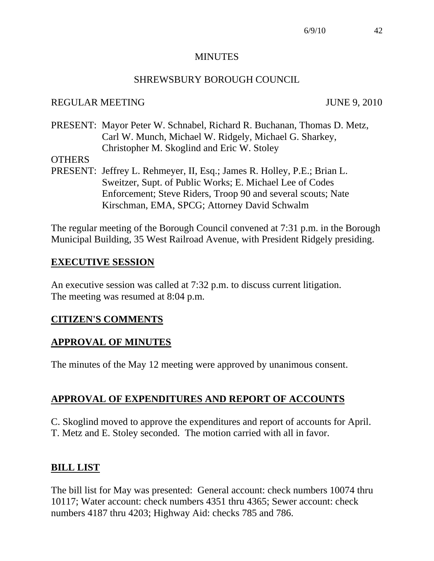#### **MINUTES**

#### SHREWSBURY BOROUGH COUNCIL

#### REGULAR MEETING JUNE 9, 2010

PRESENT: Mayor Peter W. Schnabel, Richard R. Buchanan, Thomas D. Metz, Carl W. Munch, Michael W. Ridgely, Michael G. Sharkey, Christopher M. Skoglind and Eric W. Stoley

#### **OTHERS**

PRESENT: Jeffrey L. Rehmeyer, II, Esq.; James R. Holley, P.E.; Brian L. Sweitzer, Supt. of Public Works; E. Michael Lee of Codes Enforcement; Steve Riders, Troop 90 and several scouts; Nate Kirschman, EMA, SPCG; Attorney David Schwalm

The regular meeting of the Borough Council convened at 7:31 p.m. in the Borough Municipal Building, 35 West Railroad Avenue, with President Ridgely presiding.

### **EXECUTIVE SESSION**

An executive session was called at 7:32 p.m. to discuss current litigation. The meeting was resumed at 8:04 p.m.

### **CITIZEN'S COMMENTS**

### **APPROVAL OF MINUTES**

The minutes of the May 12 meeting were approved by unanimous consent.

## **APPROVAL OF EXPENDITURES AND REPORT OF ACCOUNTS**

C. Skoglind moved to approve the expenditures and report of accounts for April. T. Metz and E. Stoley seconded. The motion carried with all in favor.

### **BILL LIST**

The bill list for May was presented: General account: check numbers 10074 thru 10117; Water account: check numbers 4351 thru 4365; Sewer account: check numbers 4187 thru 4203; Highway Aid: checks 785 and 786.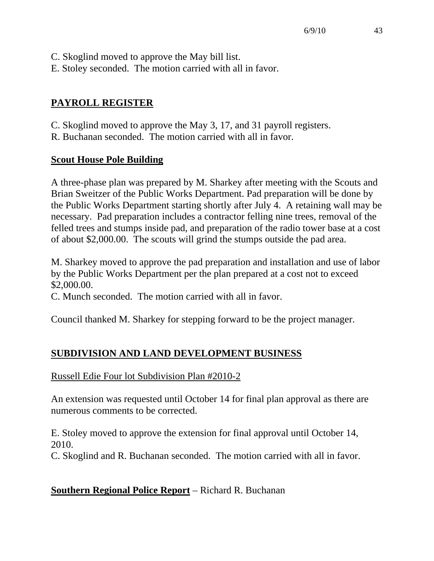- C. Skoglind moved to approve the May bill list.
- E. Stoley seconded. The motion carried with all in favor.

# **PAYROLL REGISTER**

- C. Skoglind moved to approve the May 3, 17, and 31 payroll registers.
- R. Buchanan seconded. The motion carried with all in favor.

# **Scout House Pole Building**

A three-phase plan was prepared by M. Sharkey after meeting with the Scouts and Brian Sweitzer of the Public Works Department. Pad preparation will be done by the Public Works Department starting shortly after July 4. A retaining wall may be necessary. Pad preparation includes a contractor felling nine trees, removal of the felled trees and stumps inside pad, and preparation of the radio tower base at a cost of about \$2,000.00. The scouts will grind the stumps outside the pad area.

M. Sharkey moved to approve the pad preparation and installation and use of labor by the Public Works Department per the plan prepared at a cost not to exceed \$2,000.00.

C. Munch seconded. The motion carried with all in favor.

Council thanked M. Sharkey for stepping forward to be the project manager.

# **SUBDIVISION AND LAND DEVELOPMENT BUSINESS**

# Russell Edie Four lot Subdivision Plan #2010-2

An extension was requested until October 14 for final plan approval as there are numerous comments to be corrected.

E. Stoley moved to approve the extension for final approval until October 14, 2010.

C. Skoglind and R. Buchanan seconded. The motion carried with all in favor.

# **Southern Regional Police Report** – Richard R. Buchanan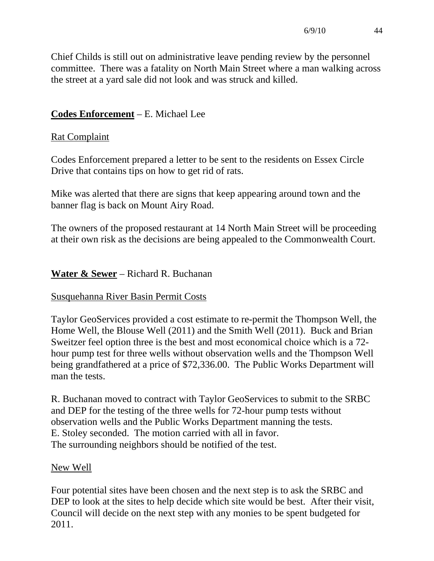Chief Childs is still out on administrative leave pending review by the personnel committee. There was a fatality on North Main Street where a man walking across the street at a yard sale did not look and was struck and killed.

## **Codes Enforcement** – E. Michael Lee

## Rat Complaint

Codes Enforcement prepared a letter to be sent to the residents on Essex Circle Drive that contains tips on how to get rid of rats.

Mike was alerted that there are signs that keep appearing around town and the banner flag is back on Mount Airy Road.

The owners of the proposed restaurant at 14 North Main Street will be proceeding at their own risk as the decisions are being appealed to the Commonwealth Court.

## **Water & Sewer** – Richard R. Buchanan

### Susquehanna River Basin Permit Costs

Taylor GeoServices provided a cost estimate to re-permit the Thompson Well, the Home Well, the Blouse Well (2011) and the Smith Well (2011). Buck and Brian Sweitzer feel option three is the best and most economical choice which is a 72 hour pump test for three wells without observation wells and the Thompson Well being grandfathered at a price of \$72,336.00. The Public Works Department will man the tests.

R. Buchanan moved to contract with Taylor GeoServices to submit to the SRBC and DEP for the testing of the three wells for 72-hour pump tests without observation wells and the Public Works Department manning the tests. E. Stoley seconded. The motion carried with all in favor. The surrounding neighbors should be notified of the test.

### New Well

Four potential sites have been chosen and the next step is to ask the SRBC and DEP to look at the sites to help decide which site would be best. After their visit, Council will decide on the next step with any monies to be spent budgeted for 2011.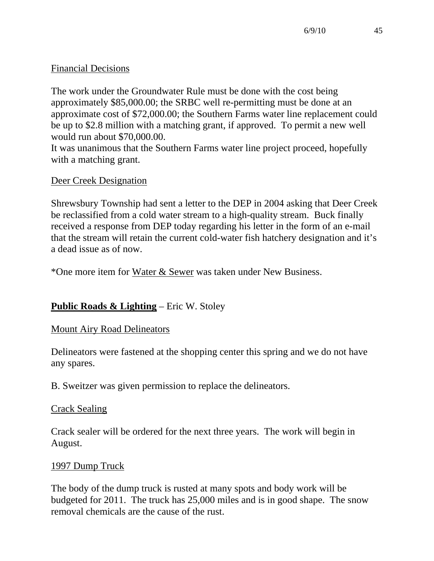## Financial Decisions

The work under the Groundwater Rule must be done with the cost being approximately \$85,000.00; the SRBC well re-permitting must be done at an approximate cost of \$72,000.00; the Southern Farms water line replacement could be up to \$2.8 million with a matching grant, if approved. To permit a new well would run about \$70,000.00.

It was unanimous that the Southern Farms water line project proceed, hopefully with a matching grant.

## Deer Creek Designation

Shrewsbury Township had sent a letter to the DEP in 2004 asking that Deer Creek be reclassified from a cold water stream to a high-quality stream. Buck finally received a response from DEP today regarding his letter in the form of an e-mail that the stream will retain the current cold-water fish hatchery designation and it's a dead issue as of now.

\*One more item for Water & Sewer was taken under New Business.

## **Public Roads & Lighting** – Eric W. Stoley

### Mount Airy Road Delineators

Delineators were fastened at the shopping center this spring and we do not have any spares.

B. Sweitzer was given permission to replace the delineators.

### Crack Sealing

Crack sealer will be ordered for the next three years. The work will begin in August.

### 1997 Dump Truck

The body of the dump truck is rusted at many spots and body work will be budgeted for 2011. The truck has 25,000 miles and is in good shape. The snow removal chemicals are the cause of the rust.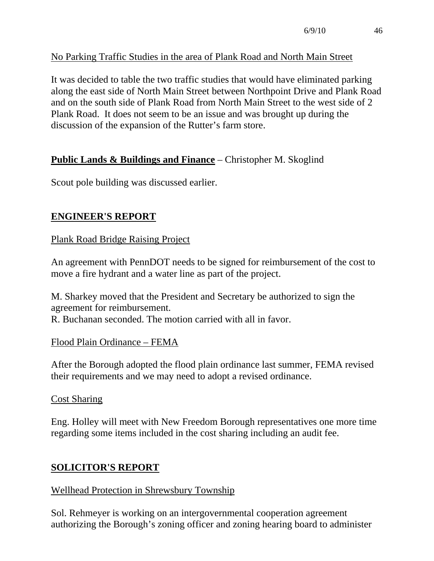## No Parking Traffic Studies in the area of Plank Road and North Main Street

It was decided to table the two traffic studies that would have eliminated parking along the east side of North Main Street between Northpoint Drive and Plank Road and on the south side of Plank Road from North Main Street to the west side of 2 Plank Road. It does not seem to be an issue and was brought up during the discussion of the expansion of the Rutter's farm store.

# **Public Lands & Buildings and Finance** – Christopher M. Skoglind

Scout pole building was discussed earlier.

## **ENGINEER'S REPORT**

Plank Road Bridge Raising Project

An agreement with PennDOT needs to be signed for reimbursement of the cost to move a fire hydrant and a water line as part of the project.

M. Sharkey moved that the President and Secretary be authorized to sign the agreement for reimbursement. R. Buchanan seconded. The motion carried with all in favor.

### Flood Plain Ordinance – FEMA

After the Borough adopted the flood plain ordinance last summer, FEMA revised their requirements and we may need to adopt a revised ordinance.

### Cost Sharing

Eng. Holley will meet with New Freedom Borough representatives one more time regarding some items included in the cost sharing including an audit fee.

## **SOLICITOR'S REPORT**

### Wellhead Protection in Shrewsbury Township

Sol. Rehmeyer is working on an intergovernmental cooperation agreement authorizing the Borough's zoning officer and zoning hearing board to administer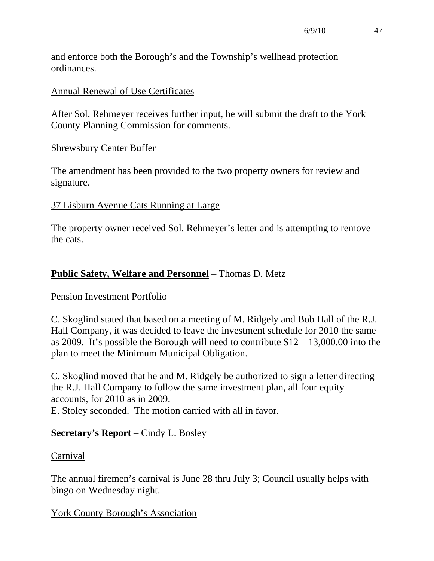and enforce both the Borough's and the Township's wellhead protection ordinances.

#### Annual Renewal of Use Certificates

After Sol. Rehmeyer receives further input, he will submit the draft to the York County Planning Commission for comments.

#### Shrewsbury Center Buffer

The amendment has been provided to the two property owners for review and signature.

#### 37 Lisburn Avenue Cats Running at Large

The property owner received Sol. Rehmeyer's letter and is attempting to remove the cats.

### **Public Safety, Welfare and Personnel** – Thomas D. Metz

### Pension Investment Portfolio

C. Skoglind stated that based on a meeting of M. Ridgely and Bob Hall of the R.J. Hall Company, it was decided to leave the investment schedule for 2010 the same as 2009. It's possible the Borough will need to contribute \$12 – 13,000.00 into the plan to meet the Minimum Municipal Obligation.

C. Skoglind moved that he and M. Ridgely be authorized to sign a letter directing the R.J. Hall Company to follow the same investment plan, all four equity accounts, for 2010 as in 2009. E. Stoley seconded. The motion carried with all in favor.

### **Secretary's Report** – Cindy L. Bosley

### Carnival

The annual firemen's carnival is June 28 thru July 3; Council usually helps with bingo on Wednesday night.

York County Borough's Association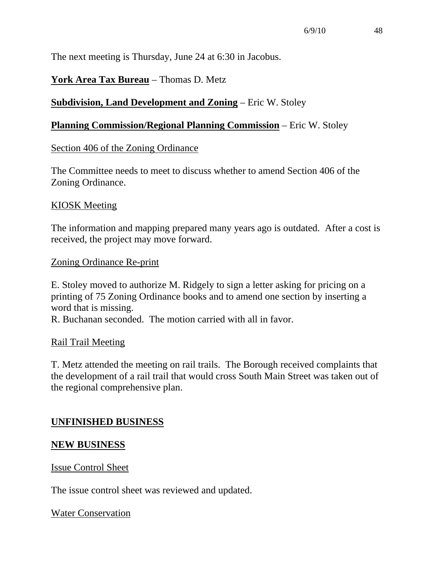The next meeting is Thursday, June 24 at 6:30 in Jacobus.

## **York Area Tax Bureau** – Thomas D. Metz

## **Subdivision, Land Development and Zoning** – Eric W. Stoley

### **Planning Commission/Regional Planning Commission** – Eric W. Stoley

### Section 406 of the Zoning Ordinance

The Committee needs to meet to discuss whether to amend Section 406 of the Zoning Ordinance.

### KIOSK Meeting

The information and mapping prepared many years ago is outdated. After a cost is received, the project may move forward.

### Zoning Ordinance Re-print

E. Stoley moved to authorize M. Ridgely to sign a letter asking for pricing on a printing of 75 Zoning Ordinance books and to amend one section by inserting a word that is missing.

R. Buchanan seconded. The motion carried with all in favor.

### Rail Trail Meeting

T. Metz attended the meeting on rail trails. The Borough received complaints that the development of a rail trail that would cross South Main Street was taken out of the regional comprehensive plan.

## **UNFINISHED BUSINESS**

### **NEW BUSINESS**

### Issue Control Sheet

The issue control sheet was reviewed and updated.

### Water Conservation